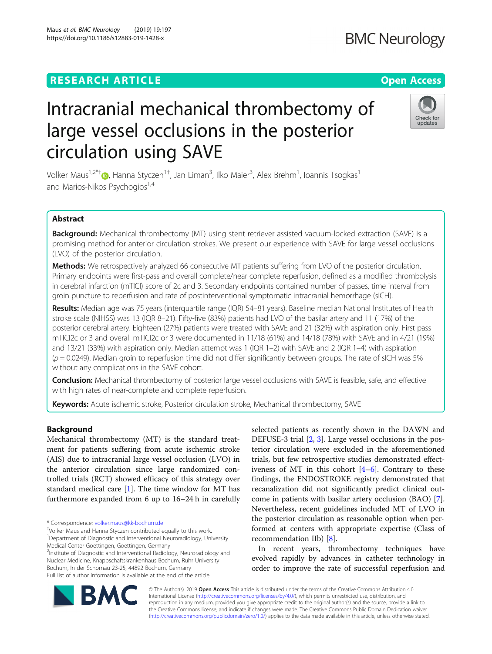# **RESEARCH ARTICLE Example 2018 12:30 THE Open Access**

# Intracranial mechanical thrombectomy of large vessel occlusions in the posterior circulation using SAVE

Volker Maus<sup>1[,](http://orcid.org/0000-0001-5097-2631)2\*†</sup>®, Hanna Styczen<sup>1†</sup>, Jan Liman<sup>3</sup>, Ilko Maier<sup>3</sup>, Alex Brehm<sup>1</sup>, Ioannis Tsogkas<sup>1</sup> and Marios-Nikos Psychogios $1,4$ 

# Abstract

Background: Mechanical thrombectomy (MT) using stent retriever assisted vacuum-locked extraction (SAVE) is a promising method for anterior circulation strokes. We present our experience with SAVE for large vessel occlusions (LVO) of the posterior circulation.

Methods: We retrospectively analyzed 66 consecutive MT patients suffering from LVO of the posterior circulation. Primary endpoints were first-pass and overall complete/near complete reperfusion, defined as a modified thrombolysis in cerebral infarction (mTICI) score of 2c and 3. Secondary endpoints contained number of passes, time interval from groin puncture to reperfusion and rate of postinterventional symptomatic intracranial hemorrhage (sICH).

Results: Median age was 75 years (interquartile range (IQR) 54–81 years). Baseline median National Institutes of Health stroke scale (NIHSS) was 13 (IQR 8–21). Fifty-five (83%) patients had LVO of the basilar artery and 11 (17%) of the posterior cerebral artery. Eighteen (27%) patients were treated with SAVE and 21 (32%) with aspiration only. First pass mTICI2c or 3 and overall mTICI2c or 3 were documented in 11/18 (61%) and 14/18 (78%) with SAVE and in 4/21 (19%) and 13/21 (33%) with aspiration only. Median attempt was 1 (IQR 1–2) with SAVE and 2 (IQR 1–4) with aspiration  $(p = 0.0249)$ . Median groin to reperfusion time did not differ significantly between groups. The rate of sICH was 5% without any complications in the SAVE cohort.

Conclusion: Mechanical thrombectomy of posterior large vessel occlusions with SAVE is feasible, safe, and effective with high rates of near-complete and complete reperfusion.

Keywords: Acute ischemic stroke, Posterior circulation stroke, Mechanical thrombectomy, SAVE

# Background

Mechanical thrombectomy (MT) is the standard treatment for patients suffering from acute ischemic stroke (AIS) due to intracranial large vessel occlusion (LVO) in the anterior circulation since large randomized controlled trials (RCT) showed efficacy of this strategy over standard medical care [\[1](#page-4-0)]. The time window for MT has furthermore expanded from 6 up to 16–24 h in carefully

\* Correspondence: [volker.maus@kk-bochum.de](mailto:volker.maus@kk-bochum.de) †

**BM** 

Medical Center Goettingen, Goettingen, Germany

<sup>2</sup>Institute of Diagnostic and Interventional Radiology, Neuroradiology and Nuclear Medicine, Knappschaftskrankenhaus Bochum, Ruhr University Bochum, In der Schornau 23-25, 44892 Bochum, Germany Full list of author information is available at the end of the article

© The Author(s). 2019 **Open Access** This article is distributed under the terms of the Creative Commons Attribution 4.0 International License [\(http://creativecommons.org/licenses/by/4.0/](http://creativecommons.org/licenses/by/4.0/)), which permits unrestricted use, distribution, and reproduction in any medium, provided you give appropriate credit to the original author(s) and the source, provide a link to the Creative Commons license, and indicate if changes were made. The Creative Commons Public Domain Dedication waiver [\(http://creativecommons.org/publicdomain/zero/1.0/](http://creativecommons.org/publicdomain/zero/1.0/)) applies to the data made available in this article, unless otherwise stated.

selected patients as recently shown in the DAWN and DEFUSE-3 trial [[2,](#page-4-0) [3\]](#page-4-0). Large vessel occlusions in the posterior circulation were excluded in the aforementioned trials, but few retrospective studies demonstrated effectiveness of MT in this cohort  $[4-6]$  $[4-6]$  $[4-6]$  $[4-6]$  $[4-6]$ . Contrary to these findings, the ENDOSTROKE registry demonstrated that recanalization did not significantly predict clinical outcome in patients with basilar artery occlusion (BAO) [\[7](#page-4-0)]. Nevertheless, recent guidelines included MT of LVO in the posterior circulation as reasonable option when performed at centers with appropriate expertise (Class of recommendation IIb) [\[8](#page-4-0)].

In recent years, thrombectomy techniques have evolved rapidly by advances in catheter technology in order to improve the rate of successful reperfusion and





Volker Maus and Hanna Styczen contributed equally to this work. <sup>1</sup>Department of Diagnostic and Interventional Neuroradiology, University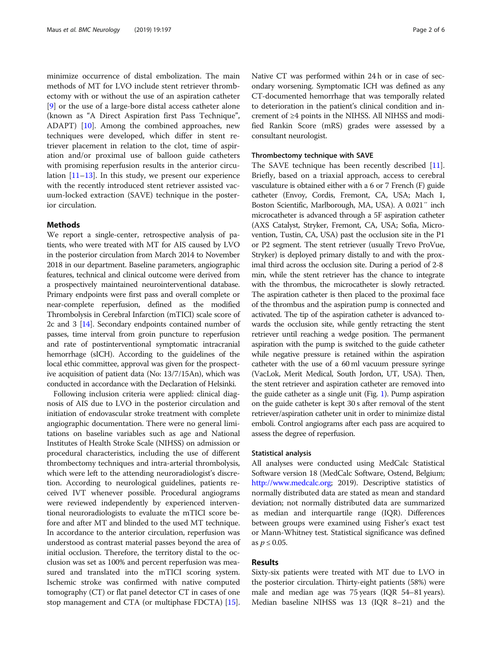minimize occurrence of distal embolization. The main methods of MT for LVO include stent retriever thrombectomy with or without the use of an aspiration catheter [[9\]](#page-4-0) or the use of a large-bore distal access catheter alone (known as "A Direct Aspiration first Pass Technique", ADAPT) [\[10](#page-4-0)]. Among the combined approaches, new techniques were developed, which differ in stent retriever placement in relation to the clot, time of aspiration and/or proximal use of balloon guide catheters with promising reperfusion results in the anterior circulation  $[11–13]$  $[11–13]$  $[11–13]$  $[11–13]$  $[11–13]$ . In this study, we present our experience with the recently introduced stent retriever assisted vacuum-locked extraction (SAVE) technique in the posterior circulation.

# Methods

We report a single-center, retrospective analysis of patients, who were treated with MT for AIS caused by LVO in the posterior circulation from March 2014 to November 2018 in our department. Baseline parameters, angiographic features, technical and clinical outcome were derived from a prospectively maintained neurointerventional database. Primary endpoints were first pass and overall complete or near-complete reperfusion, defined as the modified Thrombolysis in Cerebral Infarction (mTICI) scale score of 2c and 3 [\[14](#page-4-0)]. Secondary endpoints contained number of passes, time interval from groin puncture to reperfusion and rate of postinterventional symptomatic intracranial hemorrhage (sICH). According to the guidelines of the local ethic committee, approval was given for the prospective acquisition of patient data (No: 13/7/15An), which was conducted in accordance with the Declaration of Helsinki.

Following inclusion criteria were applied: clinical diagnosis of AIS due to LVO in the posterior circulation and initiation of endovascular stroke treatment with complete angiographic documentation. There were no general limitations on baseline variables such as age and National Institutes of Health Stroke Scale (NIHSS) on admission or procedural characteristics, including the use of different thrombectomy techniques and intra-arterial thrombolysis, which were left to the attending neuroradiologist's discretion. According to neurological guidelines, patients received IVT whenever possible. Procedural angiograms were reviewed independently by experienced interventional neuroradiologists to evaluate the mTICI score before and after MT and blinded to the used MT technique. In accordance to the anterior circulation, reperfusion was understood as contrast material passes beyond the area of initial occlusion. Therefore, the territory distal to the occlusion was set as 100% and percent reperfusion was measured and translated into the mTICI scoring system. Ischemic stroke was confirmed with native computed tomography (CT) or flat panel detector CT in cases of one stop management and CTA (or multiphase FDCTA) [[15](#page-4-0)]. Native CT was performed within 24 h or in case of secondary worsening. Symptomatic ICH was defined as any CT-documented hemorrhage that was temporally related to deterioration in the patient's clinical condition and increment of ≥4 points in the NIHSS. All NIHSS and modified Rankin Score (mRS) grades were assessed by a consultant neurologist.

#### Thrombectomy technique with SAVE

The SAVE technique has been recently described [\[11](#page-4-0)]. Briefly, based on a triaxial approach, access to cerebral vasculature is obtained either with a 6 or 7 French (F) guide catheter (Envoy, Cordis, Fremont, CA, USA; Mach 1, Boston Scientific, Marlborough, MA, USA). A 0.021″ inch microcatheter is advanced through a 5F aspiration catheter (AXS Catalyst, Stryker, Fremont, CA, USA; Sofia, Microvention, Tustin, CA, USA) past the occlusion site in the P1 or P2 segment. The stent retriever (usually Trevo ProVue, Stryker) is deployed primary distally to and with the proximal third across the occlusion site. During a period of 2-8 min, while the stent retriever has the chance to integrate with the thrombus, the microcatheter is slowly retracted. The aspiration catheter is then placed to the proximal face of the thrombus and the aspiration pump is connected and activated. The tip of the aspiration catheter is advanced towards the occlusion site, while gently retracting the stent retriever until reaching a wedge position. The permanent aspiration with the pump is switched to the guide catheter while negative pressure is retained within the aspiration catheter with the use of a 60 ml vacuum pressure syringe (VacLok, Merit Medical, South Jordon, UT, USA). Then, the stent retriever and aspiration catheter are removed into the guide catheter as a single unit (Fig. [1\)](#page-2-0). Pump aspiration on the guide catheter is kept 30 s after removal of the stent retriever/aspiration catheter unit in order to minimize distal emboli. Control angiograms after each pass are acquired to assess the degree of reperfusion.

#### Statistical analysis

All analyses were conducted using MedCalc Statistical Software version 18 (MedCalc Software, Ostend, Belgium; [http://www.medcalc.org;](http://www.medcalc.org) 2019). Descriptive statistics of normally distributed data are stated as mean and standard deviation; not normally distributed data are summarized as median and interquartile range (IQR). Differences between groups were examined using Fisher's exact test or Mann-Whitney test. Statistical significance was defined as *p* ≤ 0.05.

# Results

Sixty-six patients were treated with MT due to LVO in the posterior circulation. Thirty-eight patients (58%) were male and median age was 75 years (IQR 54–81 years). Median baseline NIHSS was 13 (IQR 8–21) and the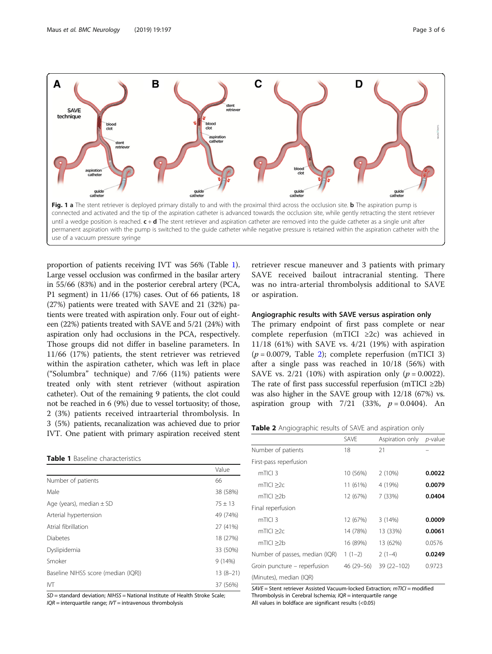<span id="page-2-0"></span>

proportion of patients receiving IVT was 56% (Table 1). Large vessel occlusion was confirmed in the basilar artery in 55/66 (83%) and in the posterior cerebral artery (PCA, P1 segment) in 11/66 (17%) cases. Out of 66 patients, 18 (27%) patients were treated with SAVE and 21 (32%) patients were treated with aspiration only. Four out of eighteen (22%) patients treated with SAVE and 5/21 (24%) with aspiration only had occlusions in the PCA, respectively. Those groups did not differ in baseline parameters. In 11/66 (17%) patients, the stent retriever was retrieved within the aspiration catheter, which was left in place ("Solumbra" technique) and 7/66 (11%) patients were treated only with stent retriever (without aspiration catheter). Out of the remaining 9 patients, the clot could not be reached in 6 (9%) due to vessel tortuosity; of those, 2 (3%) patients received intraarterial thrombolysis. In 3 (5%) patients, recanalization was achieved due to prior IVT. One patient with primary aspiration received stent

# Table 1 Baseline characteristics

|                                     | Value       |
|-------------------------------------|-------------|
| Number of patients                  | 66          |
| Male                                | 38 (58%)    |
| Age (years), median $\pm$ SD        | $75 \pm 13$ |
| Arterial hypertension               | 49 (74%)    |
| Atrial fibrillation                 | 27 (41%)    |
| Diabetes                            | 18 (27%)    |
| Dyslipidemia                        | 33 (50%)    |
| Smoker                              | 9(14%)      |
| Baseline NIHSS score (median (IQR)) | $13(8-21)$  |
| IVT                                 | 37 (56%)    |

 $SD =$  standard deviation:  $NIHSS =$  National Institute of Health Stroke Scale:

 $IQR =$  interquartile range;  $IVT =$  intravenous thrombolysis

retriever rescue maneuver and 3 patients with primary SAVE received bailout intracranial stenting. There was no intra-arterial thrombolysis additional to SAVE or aspiration.

#### Angiographic results with SAVE versus aspiration only

The primary endpoint of first pass complete or near complete reperfusion (mTICI ≥2c) was achieved in 11/18 (61%) with SAVE vs. 4/21 (19%) with aspiration  $(p = 0.0079,$  Table 2); complete reperfusion (mTICI 3) after a single pass was reached in 10/18 (56%) with SAVE vs. 2/21 (10%) with aspiration only ( $p = 0.0022$ ). The rate of first pass successful reperfusion (mTICI  $\geq 2b$ ) was also higher in the SAVE group with 12/18 (67%) vs. aspiration group with  $7/21$  (33%,  $p = 0.0404$ ). An

Table 2 Angiographic results of SAVE and aspiration only

|                                | SAVF       | Aspiration only | $p$ -value |
|--------------------------------|------------|-----------------|------------|
| Number of patients             | 18         | 21              |            |
| First-pass reperfusion         |            |                 |            |
| $mT$ $Cl$ 3                    | 10 (56%)   | 2(10%)          | 0.0022     |
| $mT Cl \geq 2c$                | 11 (61%)   | 4 (19%)         | 0.0079     |
| $mT Cl \geq 2b$                | 12 (67%)   | 7 (33%)         | 0.0404     |
| Final reperfusion              |            |                 |            |
| $mT$ $Cl$ 3                    | 12 (67%)   | 3(14%)          | 0.0009     |
| mT Cl > 2c                     | 14 (78%)   | 13 (33%)        | 0.0061     |
| mT Cl > 2b                     | 16 (89%)   | 13 (62%)        | 0.0576     |
| Number of passes, median (IQR) | $1(1-2)$   | $2(1-4)$        | 0.0249     |
| Groin puncture – reperfusion   | 46 (29-56) | 39 (22-102)     | 0.9723     |
| (Minutes), median (IQR)        |            |                 |            |

 $SAVE =$  Stent retriever Assisted Vacuum-locked Extraction;  $mTICI =$  modified Thrombolysis in Cerebral Ischemia: IOR = interquartile range All values in boldface are significant results (<0.05)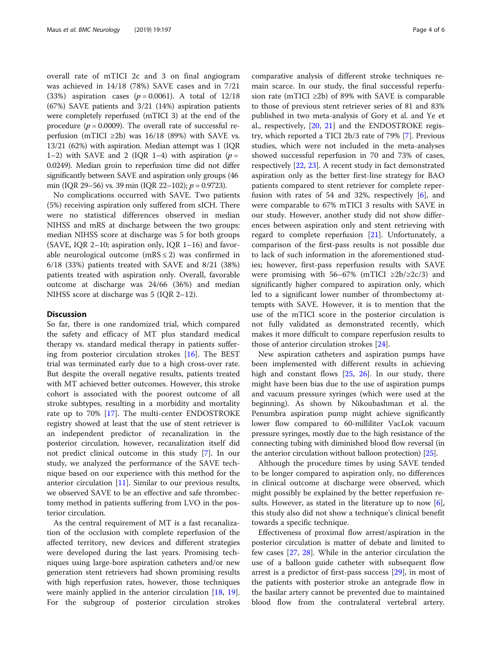overall rate of mTICI 2c and 3 on final angiogram was achieved in 14/18 (78%) SAVE cases and in 7/21 (33%) aspiration cases  $(p = 0.0061)$ . A total of 12/18 (67%) SAVE patients and 3/21 (14%) aspiration patients were completely reperfused (mTICI 3) at the end of the procedure ( $p = 0.0009$ ). The overall rate of successful reperfusion (mTICI ≥2b) was 16/18 (89%) with SAVE vs. 13/21 (62%) with aspiration. Median attempt was 1 (IQR 1–2) with SAVE and 2 (IQR 1–4) with aspiration ( $p =$ 0.0249). Median groin to reperfusion time did not differ significantly between SAVE and aspiration only groups (46 min (IQR 29–56) vs. 39 min (IQR 22–102);  $p = 0.9723$ ).

No complications occurred with SAVE. Two patients (5%) receiving aspiration only suffered from sICH. There were no statistical differences observed in median NIHSS and mRS at discharge between the two groups: median NIHSS score at discharge was 5 for both groups (SAVE, IQR 2–10; aspiration only, IQR 1–16) and favorable neurological outcome  $(mRS \leq 2)$  was confirmed in 6/18 (33%) patients treated with SAVE and 8/21 (38%) patients treated with aspiration only. Overall, favorable outcome at discharge was 24/66 (36%) and median NIHSS score at discharge was 5 (IQR 2–12).

#### **Discussion**

So far, there is one randomized trial, which compared the safety and efficacy of MT plus standard medical therapy vs. standard medical therapy in patients suffering from posterior circulation strokes [\[16](#page-5-0)]. The BEST trial was terminated early due to a high cross-over rate. But despite the overall negative results, patients treated with MT achieved better outcomes. However, this stroke cohort is associated with the poorest outcome of all stroke subtypes, resulting in a morbidity and mortality rate up to 70% [\[17](#page-5-0)]. The multi-center ENDOSTROKE registry showed at least that the use of stent retriever is an independent predictor of recanalization in the posterior circulation, however, recanalization itself did not predict clinical outcome in this study [\[7](#page-4-0)]. In our study, we analyzed the performance of the SAVE technique based on our experience with this method for the anterior circulation [[11\]](#page-4-0). Similar to our previous results, we observed SAVE to be an effective and safe thrombectomy method in patients suffering from LVO in the posterior circulation.

As the central requirement of MT is a fast recanalization of the occlusion with complete reperfusion of the affected territory, new devices and different strategies were developed during the last years. Promising techniques using large-bore aspiration catheters and/or new generation stent retrievers had shown promising results with high reperfusion rates, however, those techniques were mainly applied in the anterior circulation [[18](#page-5-0), [19](#page-5-0)]. For the subgroup of posterior circulation strokes comparative analysis of different stroke techniques remain scarce. In our study, the final successful reperfusion rate (mTICI  $\geq$ 2b) of 89% with SAVE is comparable to those of previous stent retriever series of 81 and 83% published in two meta-analysis of Gory et al. and Ye et al., respectively, [\[20,](#page-5-0) [21](#page-5-0)] and the ENDOSTROKE registry, which reported a TICI 2b/3 rate of 79% [\[7](#page-4-0)]. Previous studies, which were not included in the meta-analyses showed successful reperfusion in 70 and 73% of cases, respectively [\[22](#page-5-0), [23\]](#page-5-0). A recent study in fact demonstrated aspiration only as the better first-line strategy for BAO patients compared to stent retriever for complete reperfusion with rates of 54 and 32%, respectively  $[6]$  $[6]$ , and were comparable to 67% mTICI 3 results with SAVE in our study. However, another study did not show differences between aspiration only and stent retrieving with regard to complete reperfusion [[21](#page-5-0)]. Unfortunately, a comparison of the first-pass results is not possible due to lack of such information in the aforementioned studies; however, first-pass reperfusion results with SAVE were promising with 56–67% (mTICI  $\geq 2b/\geq 2c/3$ ) and significantly higher compared to aspiration only, which led to a significant lower number of thrombectomy attempts with SAVE. However, it is to mention that the use of the mTICI score in the posterior circulation is not fully validated as demonstrated recently, which makes it more difficult to compare reperfusion results to those of anterior circulation strokes [\[24\]](#page-5-0).

New aspiration catheters and aspiration pumps have been implemented with different results in achieving high and constant flows [[25](#page-5-0), [26\]](#page-5-0). In our study, there might have been bias due to the use of aspiration pumps and vacuum pressure syringes (which were used at the beginning). As shown by Nikoubashman et al. the Penumbra aspiration pump might achieve significantly lower flow compared to 60-milliliter VacLok vacuum pressure syringes, mostly due to the high resistance of the connecting tubing with diminished blood flow reversal (in the anterior circulation without balloon protection) [\[25](#page-5-0)].

Although the procedure times by using SAVE tended to be longer compared to aspiration only, no differences in clinical outcome at discharge were observed, which might possibly be explained by the better reperfusion results. However, as stated in the literature up to now  $[6]$  $[6]$ , this study also did not show a technique's clinical benefit towards a specific technique.

Effectiveness of proximal flow arrest/aspiration in the posterior circulation is matter of debate and limited to few cases [\[27](#page-5-0), [28\]](#page-5-0). While in the anterior circulation the use of a balloon guide catheter with subsequent flow arrest is a predictor of first-pass success [\[29](#page-5-0)], in most of the patients with posterior stroke an antegrade flow in the basilar artery cannot be prevented due to maintained blood flow from the contralateral vertebral artery.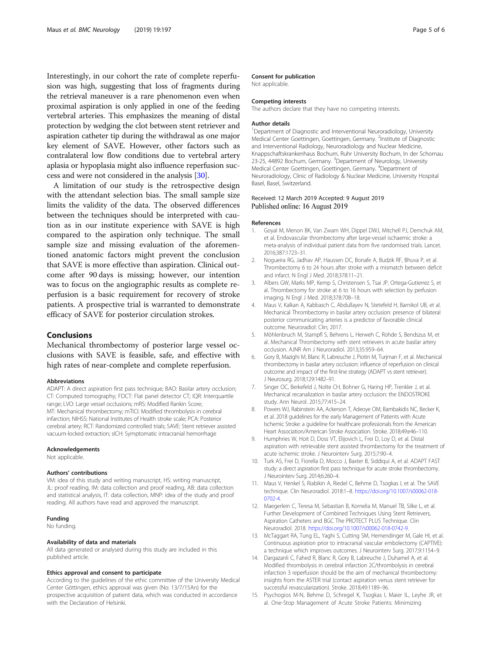<span id="page-4-0"></span>Interestingly, in our cohort the rate of complete reperfusion was high, suggesting that loss of fragments during the retrieval maneuver is a rare phenomenon even when proximal aspiration is only applied in one of the feeding vertebral arteries. This emphasizes the meaning of distal protection by wedging the clot between stent retriever and aspiration catheter tip during the withdrawal as one major key element of SAVE. However, other factors such as contralateral low flow conditions due to vertebral artery aplasia or hypoplasia might also influence reperfusion success and were not considered in the analysis [\[30\]](#page-5-0).

A limitation of our study is the retrospective design with the attendant selection bias. The small sample size limits the validity of the data. The observed differences between the techniques should be interpreted with caution as in our institute experience with SAVE is high compared to the aspiration only technique. The small sample size and missing evaluation of the aforementioned anatomic factors might prevent the conclusion that SAVE is more effective than aspiration. Clinical outcome after 90 days is missing; however, our intention was to focus on the angiographic results as complete reperfusion is a basic requirement for recovery of stroke patients. A prospective trial is warranted to demonstrate efficacy of SAVE for posterior circulation strokes.

### Conclusions

Mechanical thrombectomy of posterior large vessel occlusions with SAVE is feasible, safe, and effective with high rates of near-complete and complete reperfusion.

#### Abbreviations

ADAPT: A direct aspiration first pass technique; BAO: Basilar artery occlusion; CT: Computed tomography; FDCT: Flat panel detector CT; IQR: Interquartile range; LVO: Large vessel occlusions; mRS: Modified Rankin Score; MT: Mechanical thrombectomy; mTICI: Modified thrombolysis in cerebral infarction; NIHSS: National Institutes of Health stroke scale; PCA: Posterior cerebral artery; RCT: Randomized controlled trials; SAVE: Stent retriever assisted vacuum-locked extraction; sICH: Symptomatic intracranial hemorrhage

#### Acknowledgements

Not applicable.

#### Authors' contributions

VM: idea of this study and writing manuscript, HS: writing manuscript, JL: proof reading, IM: data collection and proof reading, AB: data collection and statistical analysis, IT: data collection, MNP: idea of the study and proof reading. All authors have read and approved the manuscript.

#### Funding

No funding.

#### Availability of data and materials

All data generated or analysed during this study are included in this published article.

#### Ethics approval and consent to participate

According to the guidelines of the ethic committee of the University Medical Center Göttingen, ethics approval was given (No: 13/7/15An) for the prospective acquisition of patient data, which was conducted in accordance with the Declaration of Helsinki.

#### Consent for publication

Not applicable.

#### Competing interests

The authors declare that they have no competing interests.

#### Author details

<sup>1</sup>Department of Diagnostic and Interventional Neuroradiology, University Medical Center Goettingen, Goettingen, Germany. <sup>2</sup>Institute of Diagnostic and Interventional Radiology, Neuroradiology and Nuclear Medicine, Knappschaftskrankenhaus Bochum, Ruhr University Bochum, In der Schornau 23-25, 44892 Bochum, Germany. <sup>3</sup>Department of Neurology, University Medical Center Goettingen, Goettingen, Germany. <sup>4</sup>Department of Neuroradiology, Clinic of Radiology & Nuclear Medicine, University Hospital Basel, Basel, Switzerland.

#### Received: 12 March 2019 Accepted: 9 August 2019 Published online: 16 August 2019

#### References

- 1. Goyal M, Menon BK, Van Zwam WH, Dippel DWJ, Mitchell PJ, Demchuk AM, et al. Endovascular thrombectomy after large-vessel ischaemic stroke: a meta-analysis of individual patient data from five randomised trials. Lancet. 2016;387:1723–31.
- 2. Nogueira RG, Jadhav AP, Haussen DC, Bonafe A, Budzik RF, Bhuva P, et al. Thrombectomy 6 to 24 hours after stroke with a mismatch between deficit and infarct. N Engl J Med. 2018;378:11–21.
- 3. Albers GW, Marks MP, Kemp S, Christensen S, Tsai JP, Ortega-Gutierrez S, et al. Thrombectomy for stroke at 6 to 16 hours with selection by perfusion imaging. N Engl J Med. 2018;378:708–18.
- 4. Maus V, Kalkan A, Kabbasch C, Abdullayev N, Stetefeld H, Barnikol UB, et al. Mechanical Thrombectomy in basilar artery occlusion: presence of bilateral posterior communicating arteries is a predictor of favorable clinical outcome. Neuroradiol: Clin; 2017.
- 5. Möhlenbruch M, Stampfl S, Behrens L, Herweh C, Rohde S, Bendszus M, et al. Mechanical Thrombectomy with stent retrievers in acute basilar artery occlusion. AJNR Am J Neuroradiol. 2013;35:959–64.
- 6. Gory B, Mazighi M, Blanc R, Labreuche J, Piotin M, Turjman F, et al. Mechanical thrombectomy in basilar artery occlusion: influence of reperfusion on clinical outcome and impact of the first-line strategy (ADAPT vs stent retriever). J Neurosurg. 2018;129:1482–91.
- 7. Singer OC, Berkefeld J, Nolte CH, Bohner G, Haring HP, Trenkler J, et al. Mechanical recanalization in basilar artery occlusion: the ENDOSTROKE study. Ann Neurol. 2015;77:415–24.
- 8. Powers WJ, Rabinstein AA, Ackerson T, Adeoye OM, Bambakidis NC, Becker K, et al. 2018 guidelines for the early Management of Patients with Acute Ischemic Stroke: a guideline for healthcare professionals from the American Heart Association/American Stroke Association. Stroke. 2018;49:e46–110.
- 9. Humphries W, Hoit D, Doss VT, Elijovich L, Frei D, Loy D, et al. Distal aspiration with retrievable stent assisted thrombectomy for the treatment of acute ischemic stroke. J Neurointerv Surg. 2015;7:90–4.
- 10. Turk AS, Frei D, Fiorella D, Mocco J, Baxter B, Siddiqui A, et al. ADAPT FAST study: a direct aspiration first pass technique for acute stroke thrombectomy. J Neurointerv Surg. 2014;6:260–4.
- 11. Maus V, Henkel S, Riabikin A, Riedel C, Behme D, Tsogkas I, et al. The SAVE technique. Clin Neuroradiol. 2018:1–8. [https://doi.org/10.1007/s00062-018-](https://doi.org/10.1007/s00062-018-0702-4) [0702-4.](https://doi.org/10.1007/s00062-018-0702-4)
- 12. Maegerlein C, Teresa M, Sebastian B, Kornelia M, Manuel TB, Silke L, et al. Further Development of Combined Techniques Using Stent Retrievers, Aspiration Catheters and BGC The PROTECT PLUS Technique. Clin Neuroradiol. 2018. [https://doi.org/10.1007/s00062-018-0742-9.](https://doi.org/10.1007/s00062-018-0742-9)
- 13. McTaggart RA, Tung EL, Yaghi S, Cutting SM, Hemendinger M, Gale HI, et al. Continuous aspiration prior to intracranial vascular embolectomy (CAPTIVE): a technique which improves outcomes. J Neurointerv Surg. 2017;9:1154–9.
- 14. Dargazanli C, Fahed R, Blanc R, Gory B, Labreuche J, Duhamel A, et al. Modified thrombolysis in cerebral infarction 2C/thrombolysis in cerebral infarction 3 reperfusion should be the aim of mechanical thrombectomy: insights from the ASTER trial (contact aspiration versus stent retriever for successful revascularization). Stroke. 2018;49:1189–96.
- 15. Psychogios M-N, Behme D, Schregel K, Tsogkas I, Maier IL, Leyhe JR, et al. One-Stop Management of Acute Stroke Patients: Minimizing